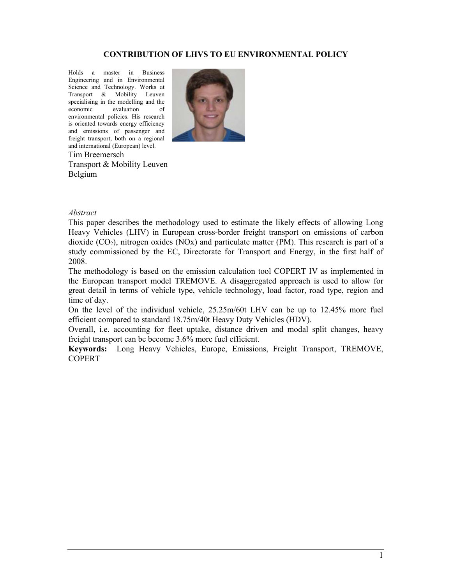#### **CONTRIBUTION OF LHVS TO EU ENVIRONMENTAL POLICY**

Holds a master in Business Engineering and in Environmental Science and Technology. Works at Transport & Mobility Leuven specialising in the modelling and the economic evaluation of environmental policies. His research is oriented towards energy efficiency and emissions of passenger and freight transport, both on a regional and international (European) level.



Tim Breemersch Transport & Mobility Leuven Belgium

#### *Abstract*

This paper describes the methodology used to estimate the likely effects of allowing Long Heavy Vehicles (LHV) in European cross-border freight transport on emissions of carbon dioxide  $(CO<sub>2</sub>)$ , nitrogen oxides  $(NOx)$  and particulate matter (PM). This research is part of a study commissioned by the EC, Directorate for Transport and Energy, in the first half of 2008.

The methodology is based on the emission calculation tool COPERT IV as implemented in the European transport model TREMOVE. A disaggregated approach is used to allow for great detail in terms of vehicle type, vehicle technology, load factor, road type, region and time of day.

On the level of the individual vehicle, 25.25m/60t LHV can be up to 12.45% more fuel efficient compared to standard 18.75m/40t Heavy Duty Vehicles (HDV).

Overall, i.e. accounting for fleet uptake, distance driven and modal split changes, heavy freight transport can be become 3.6% more fuel efficient.

**Keywords:** Long Heavy Vehicles, Europe, Emissions, Freight Transport, TREMOVE, **COPERT**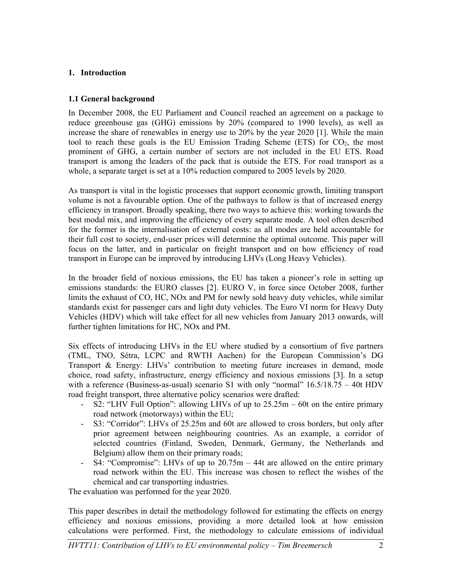#### **1. Introduction**

#### **1.1 General background**

In December 2008, the EU Parliament and Council reached an agreement on a package to reduce greenhouse gas (GHG) emissions by 20% (compared to 1990 levels), as well as increase the share of renewables in energy use to 20% by the year 2020 [1]. While the main tool to reach these goals is the EU Emission Trading Scheme (ETS) for  $CO<sub>2</sub>$ , the most prominent of GHG, a certain number of sectors are not included in the EU ETS. Road transport is among the leaders of the pack that is outside the ETS. For road transport as a whole, a separate target is set at a 10% reduction compared to 2005 levels by 2020.

As transport is vital in the logistic processes that support economic growth, limiting transport volume is not a favourable option. One of the pathways to follow is that of increased energy efficiency in transport. Broadly speaking, there two ways to achieve this: working towards the best modal mix, and improving the efficiency of every separate mode. A tool often described for the former is the internalisation of external costs: as all modes are held accountable for their full cost to society, end-user prices will determine the optimal outcome. This paper will focus on the latter, and in particular on freight transport and on how efficiency of road transport in Europe can be improved by introducing LHVs (Long Heavy Vehicles).

In the broader field of noxious emissions, the EU has taken a pioneer's role in setting up emissions standards: the EURO classes [2]. EURO V, in force since October 2008, further limits the exhaust of CO, HC, NOx and PM for newly sold heavy duty vehicles, while similar standards exist for passenger cars and light duty vehicles. The Euro VI norm for Heavy Duty Vehicles (HDV) which will take effect for all new vehicles from January 2013 onwards, will further tighten limitations for HC, NOx and PM.

Six effects of introducing LHVs in the EU where studied by a consortium of five partners (TML, TNO, Sétra, LCPC and RWTH Aachen) for the European Commission's DG Transport & Energy: LHVs' contribution to meeting future increases in demand, mode choice, road safety, infrastructure, energy efficiency and noxious emissions [3]. In a setup with a reference (Business-as-usual) scenario S1 with only "normal" 16.5/18.75 – 40t HDV road freight transport, three alternative policy scenarios were drafted:

- S2: "LHV Full Option": allowing LHVs of up to  $25.25m 60t$  on the entire primary road network (motorways) within the EU;
- S3: "Corridor": LHVs of 25.25m and 60t are allowed to cross borders, but only after prior agreement between neighbouring countries. As an example, a corridor of selected countries (Finland, Sweden, Denmark, Germany, the Netherlands and Belgium) allow them on their primary roads;
- S4: "Compromise": LHVs of up to  $20.75m 44t$  are allowed on the entire primary road network within the EU. This increase was chosen to reflect the wishes of the chemical and car transporting industries.

The evaluation was performed for the year 2020.

This paper describes in detail the methodology followed for estimating the effects on energy efficiency and noxious emissions, providing a more detailed look at how emission calculations were performed. First, the methodology to calculate emissions of individual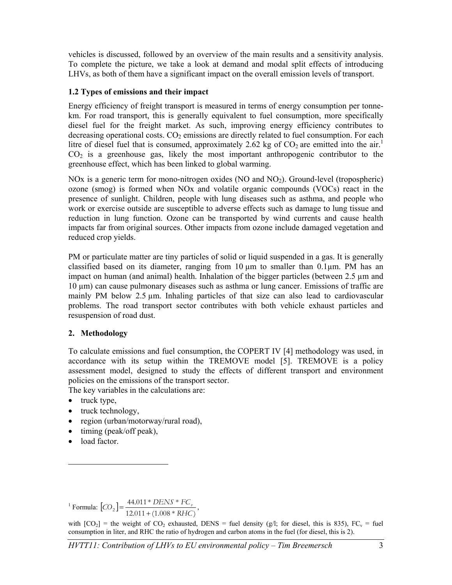vehicles is discussed, followed by an overview of the main results and a sensitivity analysis. To complete the picture, we take a look at demand and modal split effects of introducing LHVs, as both of them have a significant impact on the overall emission levels of transport.

## **1.2 Types of emissions and their impact**

Energy efficiency of freight transport is measured in terms of energy consumption per tonnekm. For road transport, this is generally equivalent to fuel consumption, more specifically diesel fuel for the freight market. As such, improving energy efficiency contributes to decreasing operational costs.  $CO<sub>2</sub>$  emissions are directly related to fuel consumption. For each litre of diesel fuel that is consumed, approximately 2.62 kg of  $CO_2$  are emitted into the air.<sup>1</sup>  $CO<sub>2</sub>$  is a greenhouse gas, likely the most important anthropogenic contributor to the greenhouse effect, which has been linked to global warming.

NOx is a generic term for mono-nitrogen oxides (NO and NO<sub>2</sub>). Ground-level (tropospheric) ozone (smog) is formed when NOx and volatile organic compounds (VOCs) react in the presence of sunlight. Children, people with lung diseases such as asthma, and people who work or exercise outside are susceptible to adverse effects such as damage to lung tissue and reduction in lung function. Ozone can be transported by wind currents and cause health impacts far from original sources. Other impacts from ozone include damaged vegetation and reduced crop yields.

PM or particulate matter are tiny particles of solid or liquid suspended in a gas. It is generally classified based on its diameter, ranging from  $10 \mu m$  to smaller than 0.1 $\mu$ m. PM has an impact on human (and animal) health. Inhalation of the bigger particles (between 2.5 µm and 10 µm) can cause pulmonary diseases such as asthma or lung cancer. Emissions of traffic are mainly PM below 2.5  $\mu$ m. Inhaling particles of that size can also lead to cardiovascular problems. The road transport sector contributes with both vehicle exhaust particles and resuspension of road dust.

## **2. Methodology**

To calculate emissions and fuel consumption, the COPERT IV [4] methodology was used, in accordance with its setup within the TREMOVE model [5]. TREMOVE is a policy assessment model, designed to study the effects of different transport and environment policies on the emissions of the transport sector.

The key variables in the calculations are:

- truck type,
- truck technology,
- region (urban/motorway/rural road),
- timing (peak/off peak),
- load factor.

-

<sup>1</sup> Formula:  $[CO_2] = \frac{44.011 * DENS * FC<sub>r</sub>}{12.011 + (1.008 * RHC)}$  $R_{2}$ **P**  $\frac{1}{2.011 + (1.008 * RHC)}$  $[CO_2] = \frac{44.011 * DENS * FC_y}{12.011 + (1.008 * RHC)},$ 

with  $[CO_2]$  = the weight of  $CO_2$  exhausted, DENS = fuel density (g/l; for diesel, this is 835),  $FC_v$  = fuel consumption in liter, and RHC the ratio of hydrogen and carbon atoms in the fuel (for diesel, this is 2).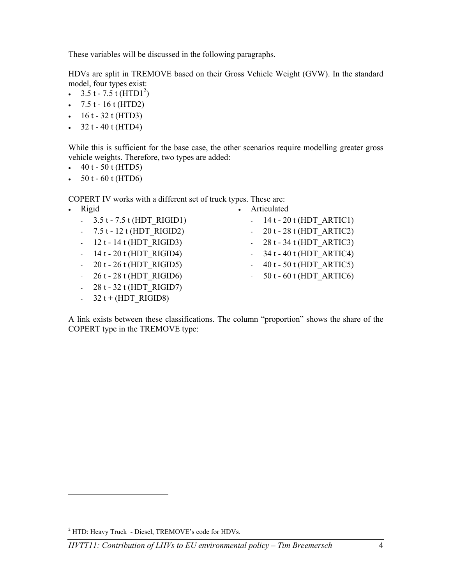These variables will be discussed in the following paragraphs.

HDVs are split in TREMOVE based on their Gross Vehicle Weight (GVW). In the standard model, four types exist:

- $3.5t 7.5t$  (HTD1<sup>2</sup>)
- $7.5 t 16 t (HTD2)$
- $16 t 32 t (HTD3)$
- $32 t 40 t (HTD4)$

While this is sufficient for the base case, the other scenarios require modelling greater gross vehicle weights. Therefore, two types are added:

- $40 t 50 t (HTD5)$
- $50t 60t$  (HTD6)

COPERT IV works with a different set of truck types. These are:

| Rigid                         | Articulated                                     |
|-------------------------------|-------------------------------------------------|
| $-3.5t - 7.5t$ (HDT RIGID1)   | $-14t - 20t$ (HDT ARTIC1)                       |
| $-7.5t - 12t$ (HDT RIGID2)    | - $20t - 28t$ (HDT ARTIC2)                      |
| $-12t - 14t$ (HDT RIGID3)     | - $28t - 34t$ (HDT ARTIC3)                      |
| $-14t - 20t$ (HDT RIGID4)     | $-34t - 40t$ (HDT ARTIC4)                       |
| $-20t - 26t$ (HDT RIGID5)     | $-40t - 50t$ (HDT ARTIC5)                       |
| $-26t - 28t$ (HDT RIGID6)     | 50 t - 60 t (HDT ARTIC6)<br>$\omega_{\rm{max}}$ |
| $-28t - 32t$ (HDT RIGID7)     |                                                 |
| $32 t + (HDT \text{ RIGID8})$ |                                                 |

A link exists between these classifications. The column "proportion" shows the share of the COPERT type in the TREMOVE type:

-

<sup>&</sup>lt;sup>2</sup> HTD: Heavy Truck - Diesel, TREMOVE's code for HDVs.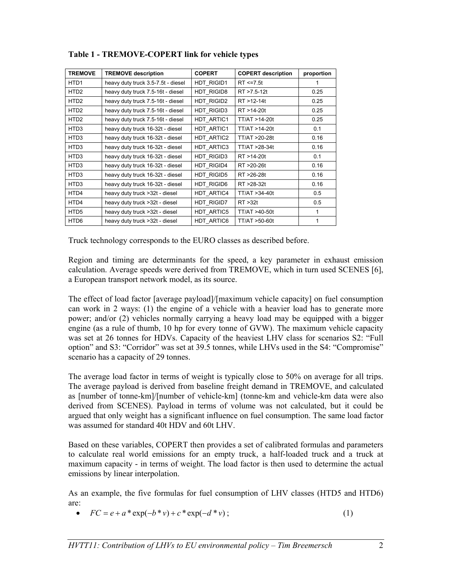| <b>TREMOVE</b>   | <b>TREMOVE description</b>         | <b>COPERT</b> | <b>COPERT description</b> | proportion |
|------------------|------------------------------------|---------------|---------------------------|------------|
| HTD <sub>1</sub> | heavy duty truck 3.5-7.5t - diesel | HDT RIGID1    | $RT \le 7.5t$             |            |
| HTD <sub>2</sub> | heavy duty truck 7.5-16t - diesel  | HDT RIGID8    | RT >7.5-12t               | 0.25       |
| HTD <sub>2</sub> | heavy duty truck 7.5-16t - diesel  | HDT RIGID2    | RT >12-14t                | 0.25       |
| HTD <sub>2</sub> | heavy duty truck 7.5-16t - diesel  | HDT RIGID3    | RT >14-20t                | 0.25       |
| HTD <sub>2</sub> | heavy duty truck 7.5-16t - diesel  | HDT ARTIC1    | TT/AT >14-20t             | 0.25       |
| HTD <sub>3</sub> | heavy duty truck 16-32t - diesel   | HDT ARTIC1    | TT/AT >14-20t             | 0.1        |
| HTD <sub>3</sub> | heavy duty truck 16-32t - diesel   | HDT ARTIC2    | TT/AT >20-28t             | 0.16       |
| HTD <sub>3</sub> | heavy duty truck 16-32t - diesel   | HDT ARTIC3    | TT/AT >28-34t             | 0.16       |
| HTD <sub>3</sub> | heavy duty truck 16-32t - diesel   | HDT RIGID3    | RT >14-20t                | 0.1        |
| HTD <sub>3</sub> | heavy duty truck 16-32t - diesel   | HDT RIGID4    | RT >20-26t                | 0.16       |
| HTD <sub>3</sub> | heavy duty truck 16-32t - diesel   | HDT RIGID5    | RT >26-28t                | 0.16       |
| HTD <sub>3</sub> | heavy duty truck 16-32t - diesel   | HDT RIGID6    | RT >28-32t                | 0.16       |
| HTD4             | heavy duty truck >32t - diesel     | HDT ARTIC4    | TT/AT > 34-40t            | 0.5        |
| HTD4             | heavy duty truck > 32t - diesel    | HDT RIGID7    | RT > 32t                  | 0.5        |
| HTD <sub>5</sub> | heavy duty truck >32t - diesel     | HDT ARTIC5    | TT/AT >40-50t             | 1          |
| HTD6             | heavy duty truck >32t - diesel     | HDT ARTIC6    | TT/AT >50-60t             |            |

# **Table 1 - TREMOVE-COPERT link for vehicle types**

Truck technology corresponds to the EURO classes as described before.

Region and timing are determinants for the speed, a key parameter in exhaust emission calculation. Average speeds were derived from TREMOVE, which in turn used SCENES [6], a European transport network model, as its source.

The effect of load factor [average payload]/[maximum vehicle capacity] on fuel consumption can work in 2 ways: (1) the engine of a vehicle with a heavier load has to generate more power; and/or (2) vehicles normally carrying a heavy load may be equipped with a bigger engine (as a rule of thumb, 10 hp for every tonne of GVW). The maximum vehicle capacity was set at 26 tonnes for HDVs. Capacity of the heaviest LHV class for scenarios S2: "Full option" and S3: "Corridor" was set at 39.5 tonnes, while LHVs used in the S4: "Compromise" scenario has a capacity of 29 tonnes.

The average load factor in terms of weight is typically close to 50% on average for all trips. The average payload is derived from baseline freight demand in TREMOVE, and calculated as [number of tonne-km]/[number of vehicle-km] (tonne-km and vehicle-km data were also derived from SCENES). Payload in terms of volume was not calculated, but it could be argued that only weight has a significant influence on fuel consumption. The same load factor was assumed for standard 40t HDV and 60t LHV.

Based on these variables, COPERT then provides a set of calibrated formulas and parameters to calculate real world emissions for an empty truck, a half-loaded truck and a truck at maximum capacity - in terms of weight. The load factor is then used to determine the actual emissions by linear interpolation.

As an example, the five formulas for fuel consumption of LHV classes (HTD5 and HTD6) are:

•  $FC = e + a * \exp(-b * v) + c * \exp(-d * v)$ ; (1)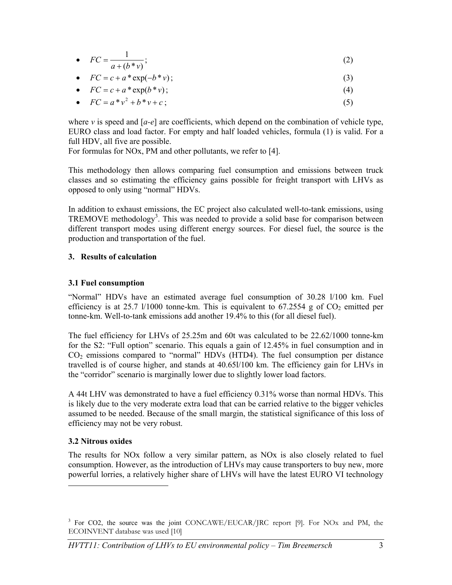• 
$$
FC = \frac{1}{a + (b * v)};
$$
 (2)

• 
$$
FC = c + a^* \exp(-b^* \nu);
$$
\n(3)

• 
$$
FC = c + a^* \exp(b^* \nu);
$$
 (4)

• 
$$
FC = a * v^2 + b * v + c
$$
 ; (5)

where  $\nu$  is speed and  $[a-e]$  are coefficients, which depend on the combination of vehicle type, EURO class and load factor. For empty and half loaded vehicles, formula (1) is valid. For a full HDV, all five are possible.

For formulas for NOx, PM and other pollutants, we refer to [4].

This methodology then allows comparing fuel consumption and emissions between truck classes and so estimating the efficiency gains possible for freight transport with LHVs as opposed to only using "normal" HDVs.

In addition to exhaust emissions, the EC project also calculated well-to-tank emissions, using TREMOVE methodology<sup>3</sup>. This was needed to provide a solid base for comparison between different transport modes using different energy sources. For diesel fuel, the source is the production and transportation of the fuel.

#### **3. Results of calculation**

#### **3.1 Fuel consumption**

"Normal" HDVs have an estimated average fuel consumption of 30.28 l/100 km. Fuel efficiency is at 25.7 l/1000 tonne-km. This is equivalent to  $67.2554$  g of  $CO<sub>2</sub>$  emitted per tonne-km. Well-to-tank emissions add another 19.4% to this (for all diesel fuel).

The fuel efficiency for LHVs of 25.25m and 60t was calculated to be 22.62/1000 tonne-km for the S2: "Full option" scenario. This equals a gain of 12.45% in fuel consumption and in  $CO<sub>2</sub>$  emissions compared to "normal" HDVs (HTD4). The fuel consumption per distance travelled is of course higher, and stands at 40.65l/100 km. The efficiency gain for LHVs in the "corridor" scenario is marginally lower due to slightly lower load factors.

A 44t LHV was demonstrated to have a fuel efficiency 0.31% worse than normal HDVs. This is likely due to the very moderate extra load that can be carried relative to the bigger vehicles assumed to be needed. Because of the small margin, the statistical significance of this loss of efficiency may not be very robust.

## **3.2 Nitrous oxides**

-

The results for NOx follow a very similar pattern, as NOx is also closely related to fuel consumption. However, as the introduction of LHVs may cause transporters to buy new, more powerful lorries, a relatively higher share of LHVs will have the latest EURO VI technology

<sup>&</sup>lt;sup>3</sup> For CO2, the source was the joint CONCAWE/EUCAR/JRC report [9]. For NOx and PM, the ECOINVENT database was used [10]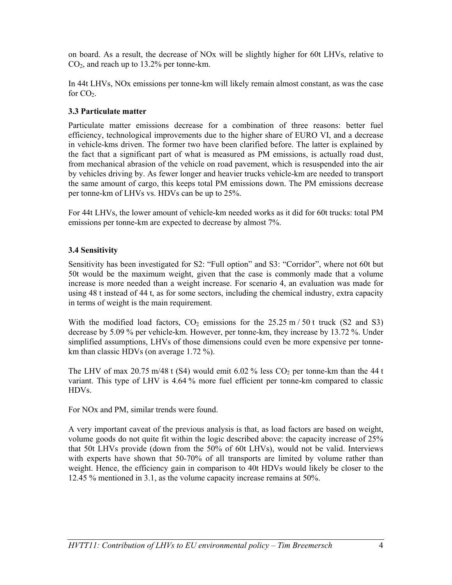on board. As a result, the decrease of NOx will be slightly higher for 60t LHVs, relative to CO2, and reach up to 13.2% per tonne-km.

In 44t LHVs, NOx emissions per tonne-km will likely remain almost constant, as was the case for  $CO<sub>2</sub>$ .

# **3.3 Particulate matter**

Particulate matter emissions decrease for a combination of three reasons: better fuel efficiency, technological improvements due to the higher share of EURO VI, and a decrease in vehicle-kms driven. The former two have been clarified before. The latter is explained by the fact that a significant part of what is measured as PM emissions, is actually road dust, from mechanical abrasion of the vehicle on road pavement, which is resuspended into the air by vehicles driving by. As fewer longer and heavier trucks vehicle-km are needed to transport the same amount of cargo, this keeps total PM emissions down. The PM emissions decrease per tonne-km of LHVs vs. HDVs can be up to 25%.

For 44t LHVs, the lower amount of vehicle-km needed works as it did for 60t trucks: total PM emissions per tonne-km are expected to decrease by almost 7%.

# **3.4 Sensitivity**

Sensitivity has been investigated for S2: "Full option" and S3: "Corridor", where not 60t but 50t would be the maximum weight, given that the case is commonly made that a volume increase is more needed than a weight increase. For scenario 4, an evaluation was made for using 48 t instead of 44 t, as for some sectors, including the chemical industry, extra capacity in terms of weight is the main requirement.

With the modified load factors,  $CO<sub>2</sub>$  emissions for the 25.25 m/50 t truck (S2 and S3) decrease by 5.09 % per vehicle-km. However, per tonne-km, they increase by 13.72 %. Under simplified assumptions, LHVs of those dimensions could even be more expensive per tonnekm than classic HDVs (on average 1.72 %).

The LHV of max 20.75 m/48 t (S4) would emit 6.02 % less  $CO<sub>2</sub>$  per tonne-km than the 44 t variant. This type of LHV is 4.64 % more fuel efficient per tonne-km compared to classic HDVs.

For NOx and PM, similar trends were found.

A very important caveat of the previous analysis is that, as load factors are based on weight, volume goods do not quite fit within the logic described above: the capacity increase of 25% that 50t LHVs provide (down from the 50% of 60t LHVs), would not be valid. Interviews with experts have shown that 50-70% of all transports are limited by volume rather than weight. Hence, the efficiency gain in comparison to 40t HDVs would likely be closer to the 12.45 % mentioned in 3.1, as the volume capacity increase remains at 50%.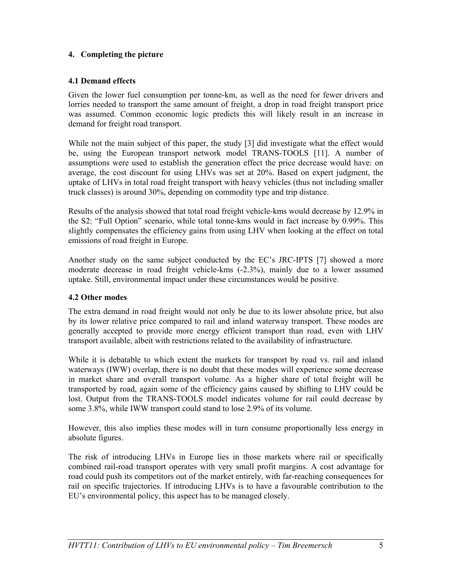# **4. Completing the picture**

# **4.1 Demand effects**

Given the lower fuel consumption per tonne-km, as well as the need for fewer drivers and lorries needed to transport the same amount of freight, a drop in road freight transport price was assumed. Common economic logic predicts this will likely result in an increase in demand for freight road transport.

While not the main subject of this paper, the study [3] did investigate what the effect would be, using the European transport network model TRANS-TOOLS [11]. A number of assumptions were used to establish the generation effect the price decrease would have: on average, the cost discount for using LHVs was set at 20%. Based on expert judgment, the uptake of LHVs in total road freight transport with heavy vehicles (thus not including smaller truck classes) is around 30%, depending on commodity type and trip distance.

Results of the analysis showed that total road freight vehicle-kms would decrease by 12.9% in the S2: "Full Option" scenario, while total tonne-kms would in fact increase by 0.99%. This slightly compensates the efficiency gains from using LHV when looking at the effect on total emissions of road freight in Europe.

Another study on the same subject conducted by the EC's JRC-IPTS [7] showed a more moderate decrease in road freight vehicle-kms (-2.3%), mainly due to a lower assumed uptake. Still, environmental impact under these circumstances would be positive.

## **4.2 Other modes**

The extra demand in road freight would not only be due to its lower absolute price, but also by its lower relative price compared to rail and inland waterway transport. These modes are generally accepted to provide more energy efficient transport than road, even with LHV transport available, albeit with restrictions related to the availability of infrastructure.

While it is debatable to which extent the markets for transport by road vs. rail and inland waterways (IWW) overlap, there is no doubt that these modes will experience some decrease in market share and overall transport volume. As a higher share of total freight will be transported by road, again some of the efficiency gains caused by shifting to LHV could be lost. Output from the TRANS-TOOLS model indicates volume for rail could decrease by some 3.8%, while IWW transport could stand to lose 2.9% of its volume.

However, this also implies these modes will in turn consume proportionally less energy in absolute figures.

The risk of introducing LHVs in Europe lies in those markets where rail or specifically combined rail-road transport operates with very small profit margins. A cost advantage for road could push its competitors out of the market entirely, with far-reaching consequences for rail on specific trajectories. If introducing LHVs is to have a favourable contribution to the EU's environmental policy, this aspect has to be managed closely.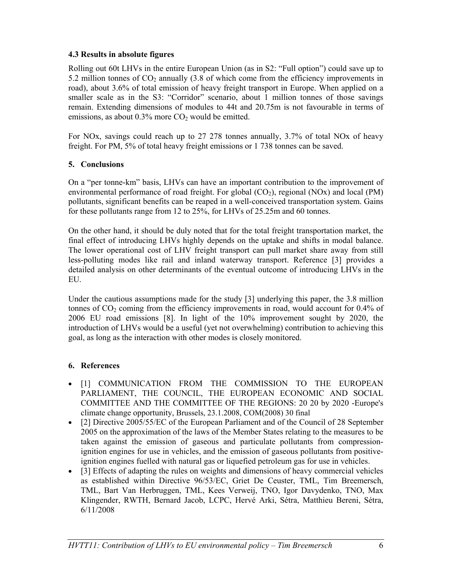## **4.3 Results in absolute figures**

Rolling out 60t LHVs in the entire European Union (as in S2: "Full option") could save up to 5.2 million tonnes of  $CO<sub>2</sub>$  annually (3.8 of which come from the efficiency improvements in road), about 3.6% of total emission of heavy freight transport in Europe. When applied on a smaller scale as in the S3: "Corridor" scenario, about 1 million tonnes of those savings remain. Extending dimensions of modules to 44t and 20.75m is not favourable in terms of emissions, as about  $0.3\%$  more  $CO<sub>2</sub>$  would be emitted.

For NOx, savings could reach up to 27 278 tonnes annually, 3.7% of total NOx of heavy freight. For PM, 5% of total heavy freight emissions or 1 738 tonnes can be saved.

# **5. Conclusions**

On a "per tonne-km" basis, LHVs can have an important contribution to the improvement of environmental performance of road freight. For global  $(CO<sub>2</sub>)$ , regional  $(NOx)$  and local (PM) pollutants, significant benefits can be reaped in a well-conceived transportation system. Gains for these pollutants range from 12 to 25%, for LHVs of 25.25m and 60 tonnes.

On the other hand, it should be duly noted that for the total freight transportation market, the final effect of introducing LHVs highly depends on the uptake and shifts in modal balance. The lower operational cost of LHV freight transport can pull market share away from still less-polluting modes like rail and inland waterway transport. Reference [3] provides a detailed analysis on other determinants of the eventual outcome of introducing LHVs in the EU.

Under the cautious assumptions made for the study [3] underlying this paper, the 3.8 million tonnes of  $CO<sub>2</sub>$  coming from the efficiency improvements in road, would account for 0.4% of 2006 EU road emissions [8]. In light of the 10% improvement sought by 2020, the introduction of LHVs would be a useful (yet not overwhelming) contribution to achieving this goal, as long as the interaction with other modes is closely monitored.

## **6. References**

- [1] COMMUNICATION FROM THE COMMISSION TO THE EUROPEAN PARLIAMENT, THE COUNCIL, THE EUROPEAN ECONOMIC AND SOCIAL COMMITTEE AND THE COMMITTEE OF THE REGIONS: 20 20 by 2020 -Europe's climate change opportunity, Brussels, 23.1.2008, COM(2008) 30 final
- [2] Directive 2005/55/EC of the European Parliament and of the Council of 28 September 2005 on the approximation of the laws of the Member States relating to the measures to be taken against the emission of gaseous and particulate pollutants from compressionignition engines for use in vehicles, and the emission of gaseous pollutants from positiveignition engines fuelled with natural gas or liquefied petroleum gas for use in vehicles.
- [3] Effects of adapting the rules on weights and dimensions of heavy commercial vehicles as established within Directive 96/53/EC, Griet De Ceuster, TML, Tim Breemersch, TML, Bart Van Herbruggen, TML, Kees Verweij, TNO, Igor Davydenko, TNO, Max Klingender, RWTH, Bernard Jacob, LCPC, Hervé Arki, Sétra, Matthieu Bereni, Sétra, 6/11/2008